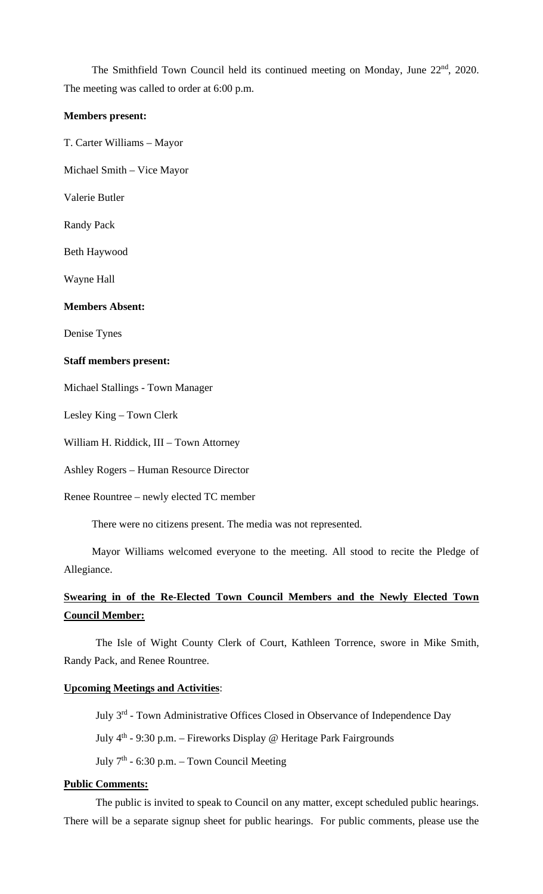The Smithfield Town Council held its continued meeting on Monday, June 22<sup>nd</sup>, 2020. The meeting was called to order at 6:00 p.m.

#### **Members present:**

T. Carter Williams – Mayor

Michael Smith – Vice Mayor

Valerie Butler

Randy Pack

Beth Haywood

Wayne Hall

#### **Members Absent:**

Denise Tynes

#### **Staff members present:**

Michael Stallings - Town Manager

Lesley King – Town Clerk

William H. Riddick, III – Town Attorney

Ashley Rogers – Human Resource Director

Renee Rountree – newly elected TC member

There were no citizens present. The media was not represented.

Mayor Williams welcomed everyone to the meeting. All stood to recite the Pledge of Allegiance.

# **Swearing in of the Re-Elected Town Council Members and the Newly Elected Town Council Member:**

The Isle of Wight County Clerk of Court, Kathleen Torrence, swore in Mike Smith, Randy Pack, and Renee Rountree.

#### **Upcoming Meetings and Activities**:

July 3<sup>rd</sup> - Town Administrative Offices Closed in Observance of Independence Day July  $4<sup>th</sup>$  - 9:30 p.m. – Fireworks Display @ Heritage Park Fairgrounds July  $7<sup>th</sup>$  - 6:30 p.m. – Town Council Meeting

## **Public Comments:**

The public is invited to speak to Council on any matter, except scheduled public hearings. There will be a separate signup sheet for public hearings. For public comments, please use the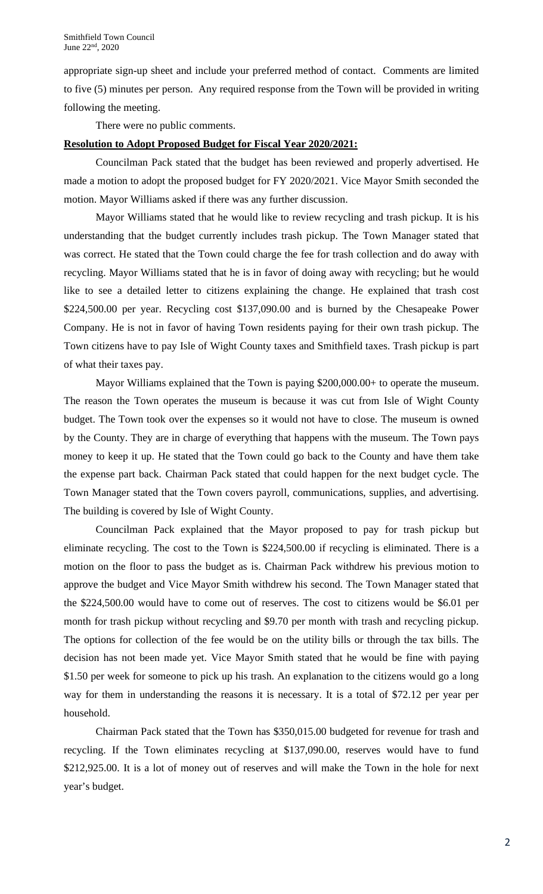appropriate sign-up sheet and include your preferred method of contact. Comments are limited to five (5) minutes per person. Any required response from the Town will be provided in writing following the meeting.

There were no public comments.

# **Resolution to Adopt Proposed Budget for Fiscal Year 2020/2021:**

Councilman Pack stated that the budget has been reviewed and properly advertised. He made a motion to adopt the proposed budget for FY 2020/2021. Vice Mayor Smith seconded the motion. Mayor Williams asked if there was any further discussion.

Mayor Williams stated that he would like to review recycling and trash pickup. It is his understanding that the budget currently includes trash pickup. The Town Manager stated that was correct. He stated that the Town could charge the fee for trash collection and do away with recycling. Mayor Williams stated that he is in favor of doing away with recycling; but he would like to see a detailed letter to citizens explaining the change. He explained that trash cost \$224,500.00 per year. Recycling cost \$137,090.00 and is burned by the Chesapeake Power Company. He is not in favor of having Town residents paying for their own trash pickup. The Town citizens have to pay Isle of Wight County taxes and Smithfield taxes. Trash pickup is part of what their taxes pay.

Mayor Williams explained that the Town is paying \$200,000.00+ to operate the museum. The reason the Town operates the museum is because it was cut from Isle of Wight County budget. The Town took over the expenses so it would not have to close. The museum is owned by the County. They are in charge of everything that happens with the museum. The Town pays money to keep it up. He stated that the Town could go back to the County and have them take the expense part back. Chairman Pack stated that could happen for the next budget cycle. The Town Manager stated that the Town covers payroll, communications, supplies, and advertising. The building is covered by Isle of Wight County.

Councilman Pack explained that the Mayor proposed to pay for trash pickup but eliminate recycling. The cost to the Town is \$224,500.00 if recycling is eliminated. There is a motion on the floor to pass the budget as is. Chairman Pack withdrew his previous motion to approve the budget and Vice Mayor Smith withdrew his second. The Town Manager stated that the \$224,500.00 would have to come out of reserves. The cost to citizens would be \$6.01 per month for trash pickup without recycling and \$9.70 per month with trash and recycling pickup. The options for collection of the fee would be on the utility bills or through the tax bills. The decision has not been made yet. Vice Mayor Smith stated that he would be fine with paying \$1.50 per week for someone to pick up his trash. An explanation to the citizens would go a long way for them in understanding the reasons it is necessary. It is a total of \$72.12 per year per household.

Chairman Pack stated that the Town has \$350,015.00 budgeted for revenue for trash and recycling. If the Town eliminates recycling at \$137,090.00, reserves would have to fund \$212,925.00. It is a lot of money out of reserves and will make the Town in the hole for next year's budget.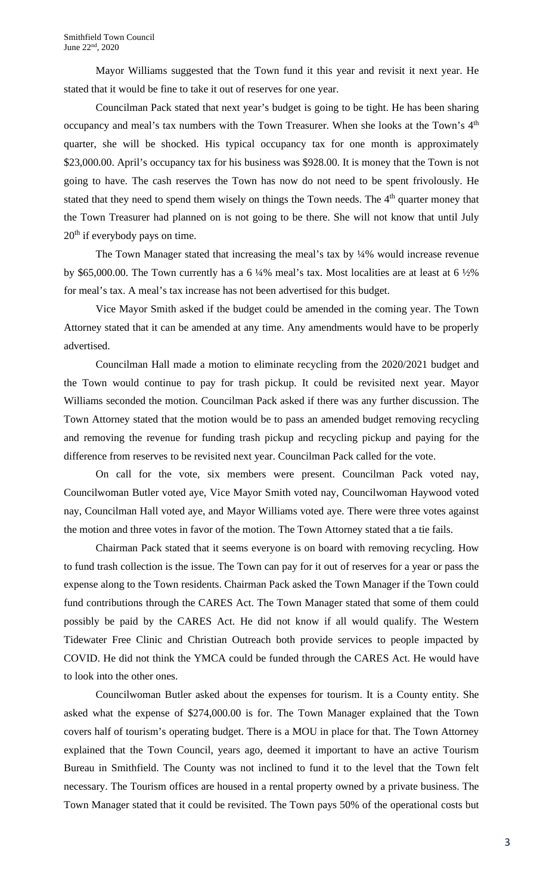Mayor Williams suggested that the Town fund it this year and revisit it next year. He stated that it would be fine to take it out of reserves for one year.

Councilman Pack stated that next year's budget is going to be tight. He has been sharing occupancy and meal's tax numbers with the Town Treasurer. When she looks at the Town's 4<sup>th</sup> quarter, she will be shocked. His typical occupancy tax for one month is approximately \$23,000.00. April's occupancy tax for his business was \$928.00. It is money that the Town is not going to have. The cash reserves the Town has now do not need to be spent frivolously. He stated that they need to spend them wisely on things the Town needs. The 4<sup>th</sup> quarter money that the Town Treasurer had planned on is not going to be there. She will not know that until July 20<sup>th</sup> if everybody pays on time.

The Town Manager stated that increasing the meal's tax by  $\frac{1}{4}\%$  would increase revenue by \$65,000.00. The Town currently has a 6  $\frac{1}{4}$ % meal's tax. Most localities are at least at 6  $\frac{1}{2}$ % for meal's tax. A meal's tax increase has not been advertised for this budget.

Vice Mayor Smith asked if the budget could be amended in the coming year. The Town Attorney stated that it can be amended at any time. Any amendments would have to be properly advertised.

Councilman Hall made a motion to eliminate recycling from the 2020/2021 budget and the Town would continue to pay for trash pickup. It could be revisited next year. Mayor Williams seconded the motion. Councilman Pack asked if there was any further discussion. The Town Attorney stated that the motion would be to pass an amended budget removing recycling and removing the revenue for funding trash pickup and recycling pickup and paying for the difference from reserves to be revisited next year. Councilman Pack called for the vote.

On call for the vote, six members were present. Councilman Pack voted nay, Councilwoman Butler voted aye, Vice Mayor Smith voted nay, Councilwoman Haywood voted nay, Councilman Hall voted aye, and Mayor Williams voted aye. There were three votes against the motion and three votes in favor of the motion. The Town Attorney stated that a tie fails.

Chairman Pack stated that it seems everyone is on board with removing recycling. How to fund trash collection is the issue. The Town can pay for it out of reserves for a year or pass the expense along to the Town residents. Chairman Pack asked the Town Manager if the Town could fund contributions through the CARES Act. The Town Manager stated that some of them could possibly be paid by the CARES Act. He did not know if all would qualify. The Western Tidewater Free Clinic and Christian Outreach both provide services to people impacted by COVID. He did not think the YMCA could be funded through the CARES Act. He would have to look into the other ones.

Councilwoman Butler asked about the expenses for tourism. It is a County entity. She asked what the expense of \$274,000.00 is for. The Town Manager explained that the Town covers half of tourism's operating budget. There is a MOU in place for that. The Town Attorney explained that the Town Council, years ago, deemed it important to have an active Tourism Bureau in Smithfield. The County was not inclined to fund it to the level that the Town felt necessary. The Tourism offices are housed in a rental property owned by a private business. The Town Manager stated that it could be revisited. The Town pays 50% of the operational costs but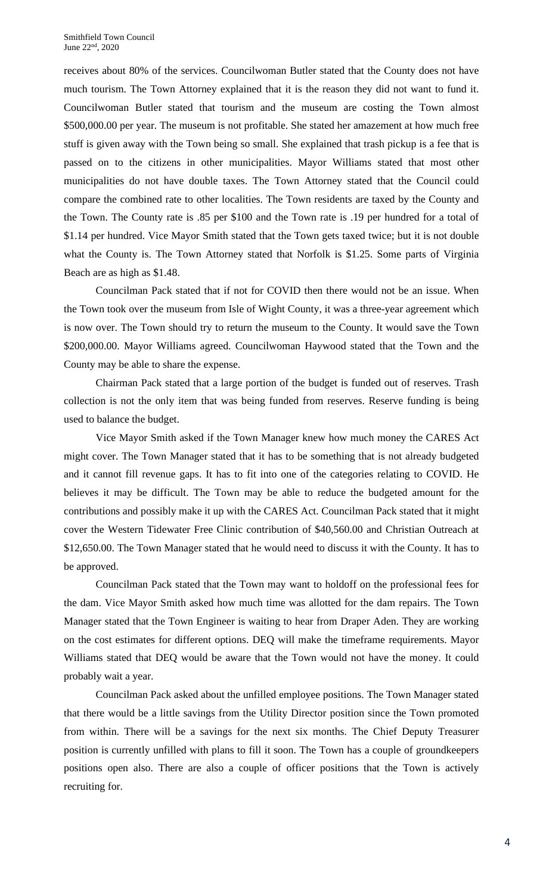receives about 80% of the services. Councilwoman Butler stated that the County does not have much tourism. The Town Attorney explained that it is the reason they did not want to fund it. Councilwoman Butler stated that tourism and the museum are costing the Town almost \$500,000.00 per year. The museum is not profitable. She stated her amazement at how much free stuff is given away with the Town being so small. She explained that trash pickup is a fee that is passed on to the citizens in other municipalities. Mayor Williams stated that most other municipalities do not have double taxes. The Town Attorney stated that the Council could compare the combined rate to other localities. The Town residents are taxed by the County and the Town. The County rate is .85 per \$100 and the Town rate is .19 per hundred for a total of \$1.14 per hundred. Vice Mayor Smith stated that the Town gets taxed twice; but it is not double what the County is. The Town Attorney stated that Norfolk is \$1.25. Some parts of Virginia Beach are as high as \$1.48.

Councilman Pack stated that if not for COVID then there would not be an issue. When the Town took over the museum from Isle of Wight County, it was a three-year agreement which is now over. The Town should try to return the museum to the County. It would save the Town \$200,000.00. Mayor Williams agreed. Councilwoman Haywood stated that the Town and the County may be able to share the expense.

Chairman Pack stated that a large portion of the budget is funded out of reserves. Trash collection is not the only item that was being funded from reserves. Reserve funding is being used to balance the budget.

Vice Mayor Smith asked if the Town Manager knew how much money the CARES Act might cover. The Town Manager stated that it has to be something that is not already budgeted and it cannot fill revenue gaps. It has to fit into one of the categories relating to COVID. He believes it may be difficult. The Town may be able to reduce the budgeted amount for the contributions and possibly make it up with the CARES Act. Councilman Pack stated that it might cover the Western Tidewater Free Clinic contribution of \$40,560.00 and Christian Outreach at \$12,650.00. The Town Manager stated that he would need to discuss it with the County. It has to be approved.

Councilman Pack stated that the Town may want to holdoff on the professional fees for the dam. Vice Mayor Smith asked how much time was allotted for the dam repairs. The Town Manager stated that the Town Engineer is waiting to hear from Draper Aden. They are working on the cost estimates for different options. DEQ will make the timeframe requirements. Mayor Williams stated that DEQ would be aware that the Town would not have the money. It could probably wait a year.

Councilman Pack asked about the unfilled employee positions. The Town Manager stated that there would be a little savings from the Utility Director position since the Town promoted from within. There will be a savings for the next six months. The Chief Deputy Treasurer position is currently unfilled with plans to fill it soon. The Town has a couple of groundkeepers positions open also. There are also a couple of officer positions that the Town is actively recruiting for.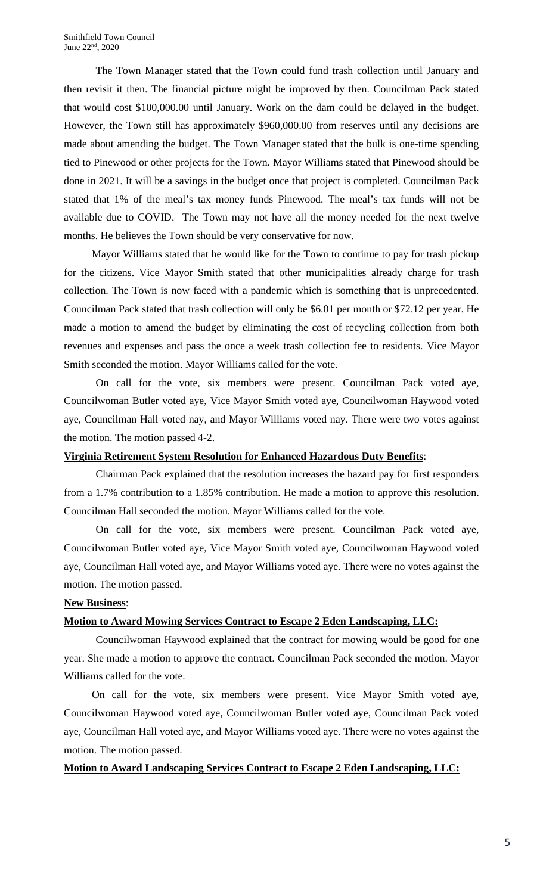The Town Manager stated that the Town could fund trash collection until January and then revisit it then. The financial picture might be improved by then. Councilman Pack stated that would cost \$100,000.00 until January. Work on the dam could be delayed in the budget. However, the Town still has approximately \$960,000.00 from reserves until any decisions are made about amending the budget. The Town Manager stated that the bulk is one-time spending tied to Pinewood or other projects for the Town. Mayor Williams stated that Pinewood should be done in 2021. It will be a savings in the budget once that project is completed. Councilman Pack stated that 1% of the meal's tax money funds Pinewood. The meal's tax funds will not be available due to COVID. The Town may not have all the money needed for the next twelve months. He believes the Town should be very conservative for now.

Mayor Williams stated that he would like for the Town to continue to pay for trash pickup for the citizens. Vice Mayor Smith stated that other municipalities already charge for trash collection. The Town is now faced with a pandemic which is something that is unprecedented. Councilman Pack stated that trash collection will only be \$6.01 per month or \$72.12 per year. He made a motion to amend the budget by eliminating the cost of recycling collection from both revenues and expenses and pass the once a week trash collection fee to residents. Vice Mayor Smith seconded the motion. Mayor Williams called for the vote.

On call for the vote, six members were present. Councilman Pack voted aye, Councilwoman Butler voted aye, Vice Mayor Smith voted aye, Councilwoman Haywood voted aye, Councilman Hall voted nay, and Mayor Williams voted nay. There were two votes against the motion. The motion passed 4-2.

## **Virginia Retirement System Resolution for Enhanced Hazardous Duty Benefits**:

Chairman Pack explained that the resolution increases the hazard pay for first responders from a 1.7% contribution to a 1.85% contribution. He made a motion to approve this resolution. Councilman Hall seconded the motion. Mayor Williams called for the vote.

On call for the vote, six members were present. Councilman Pack voted aye, Councilwoman Butler voted aye, Vice Mayor Smith voted aye, Councilwoman Haywood voted aye, Councilman Hall voted aye, and Mayor Williams voted aye. There were no votes against the motion. The motion passed.

## **New Business**:

# **Motion to Award Mowing Services Contract to Escape 2 Eden Landscaping, LLC:**

Councilwoman Haywood explained that the contract for mowing would be good for one year. She made a motion to approve the contract. Councilman Pack seconded the motion. Mayor Williams called for the vote.

On call for the vote, six members were present. Vice Mayor Smith voted aye, Councilwoman Haywood voted aye, Councilwoman Butler voted aye, Councilman Pack voted aye, Councilman Hall voted aye, and Mayor Williams voted aye. There were no votes against the motion. The motion passed.

# **Motion to Award Landscaping Services Contract to Escape 2 Eden Landscaping, LLC:**